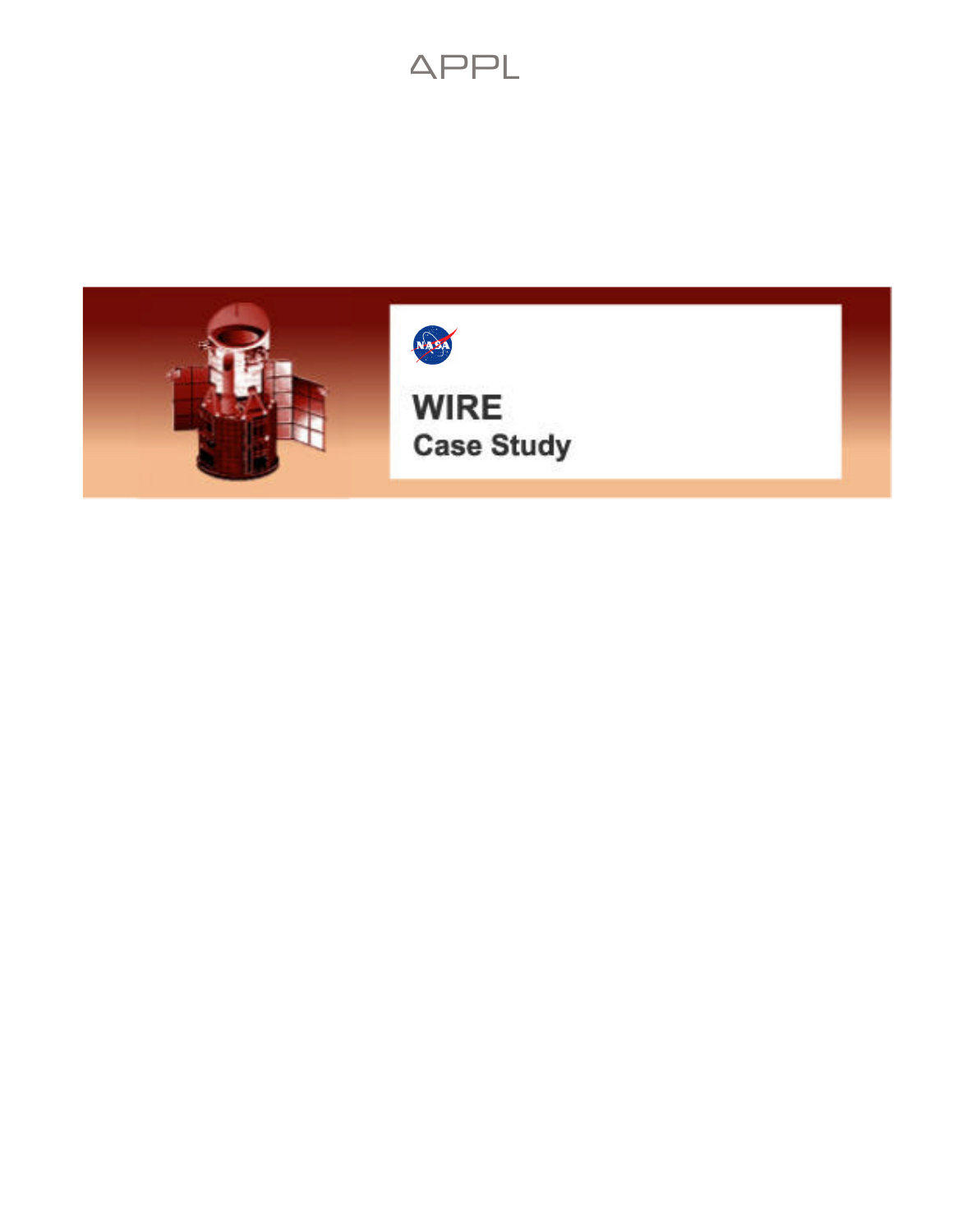

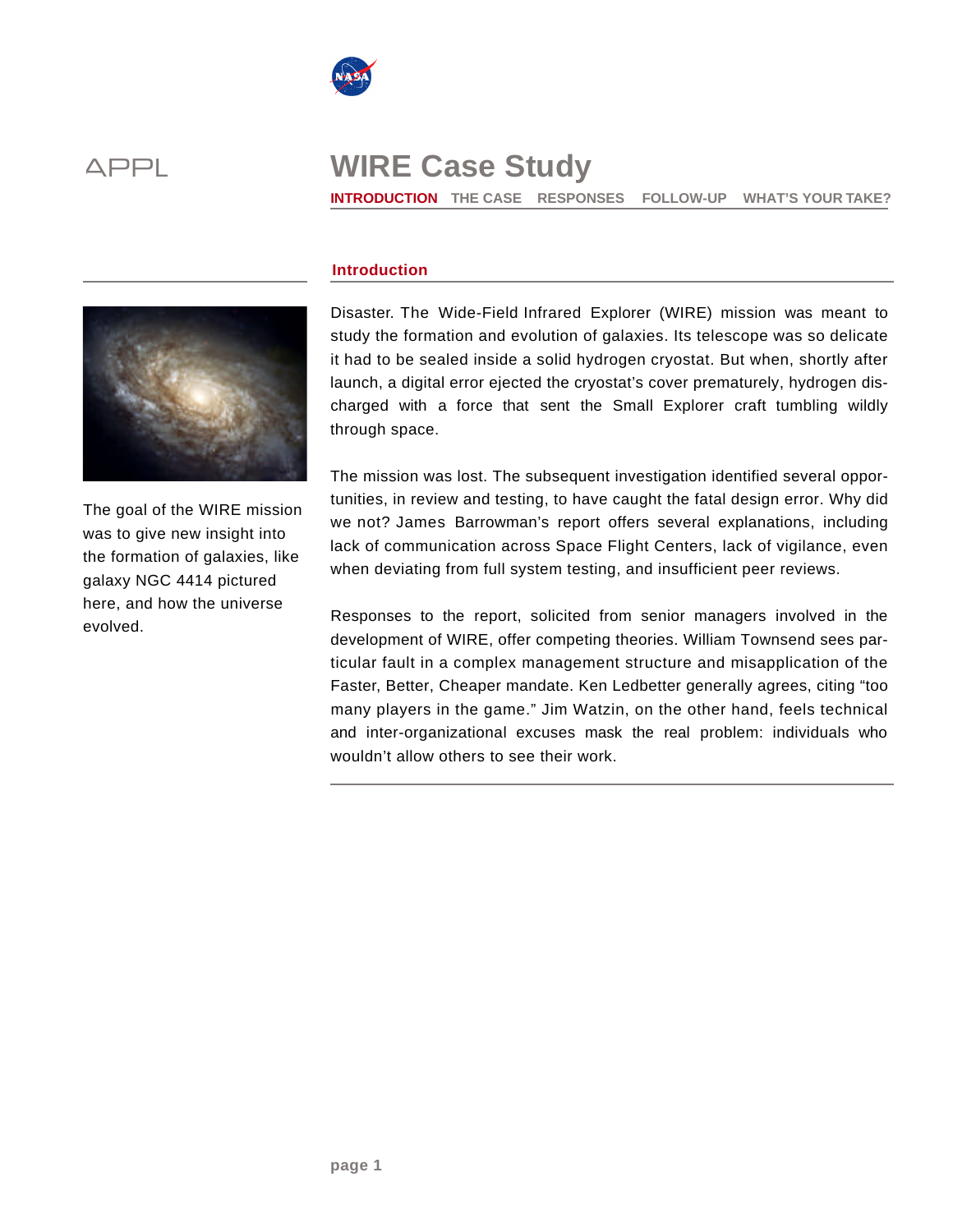



**INTRODUCTION THE CASE RESPONSES FOLLOW-UP WHAT'S YOUR TAKE?** 



The goal of the WIRE mission was to give new insight into the formation of galaxies, like galaxy NGC 4414 pictured here, and how the universe evolved.

### **Introduction**

Disaster. The Wide-Field Infrared Explorer (WIRE) mission was meant to study the formation and evolution of galaxies. Its telescope was so delicate it had to be sealed inside a solid hydrogen cryostat. But when, shortly after launch, a digital error ejected the cryostat's cover prematurely, hydrogen discharged with a force that sent the Small Explorer craft tumbling wildly through space.

The mission was lost. The subsequent investigation identified several opportunities, in review and testing, to have caught the fatal design error. Why did we not? James Barrowman's report offers several explanations, including lack of communication across Space Flight Centers, lack of vigilance, even when deviating from full system testing, and insufficient peer reviews.

Responses to the report, solicited from senior managers involved in the development of WIRE, offer competing theories. William Townsend sees particular fault in a complex management structure and misapplication of the Faster, Better, Cheaper mandate. Ken Ledbetter generally agrees, citing "too many players in the game." Jim Watzin, on the other hand, feels technical and inter-organizational excuses mask the real problem: individuals who wouldn't allow others to see their work.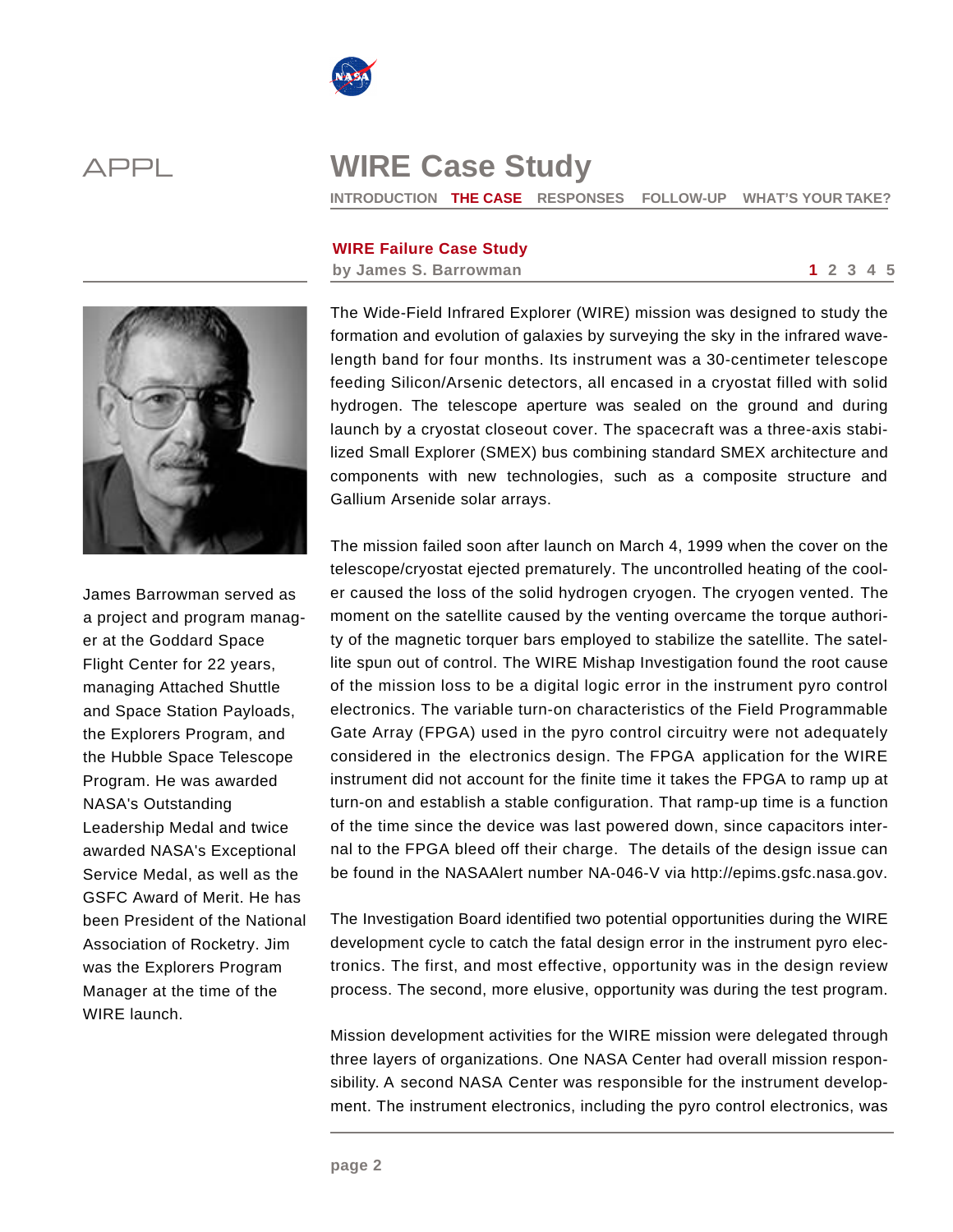



**INTRODUCTION THE CASE RESPONSES FOLLOW-UP WHAT'S YOUR TAKE?** 

### **WIRE Failure Case Study**

**by James S. Barrowman 1 2 3 4 5** 



James Barrowman served as a project and program manager at the Goddard Space Flight Center for 22 years, managing Attached Shuttle and Space Station Payloads, the Explorers Program, and the Hubble Space Telescope Program. He was awarded NASA's Outstanding Leadership Medal and twice awarded NASA's Exceptional Service Medal, as well as the GSFC Award of Merit. He has been President of the National Association of Rocketry. Jim was the Explorers Program Manager at the time of the WIRE launch.

The Wide-Field Infrared Explorer (WIRE) mission was designed to study the formation and evolution of galaxies by surveying the sky in the infrared wavelength band for four months. Its instrument was a 30-centimeter telescope feeding Silicon/Arsenic detectors, all encased in a cryostat filled with solid hydrogen. The telescope aperture was sealed on the ground and during launch by a cryostat closeout cover. The spacecraft was a three-axis stabilized Small Explorer (SMEX) bus combining standard SMEX architecture and components with new technologies, such as a composite structure and Gallium Arsenide solar arrays.

The mission failed soon after launch on March 4, 1999 when the cover on the telescope/cryostat ejected prematurely. The uncontrolled heating of the cooler caused the loss of the solid hydrogen cryogen. The cryogen vented. The moment on the satellite caused by the venting overcame the torque authority of the magnetic torquer bars employed to stabilize the satellite. The satellite spun out of control. The WIRE Mishap Investigation found the root cause of the mission loss to be a digital logic error in the instrument pyro control electronics. The variable turn-on characteristics of the Field Programmable Gate Array (FPGA) used in the pyro control circuitry were not adequately considered in the electronics design. The FPGA application for the WIRE instrument did not account for the finite time it takes the FPGA to ramp up at turn-on and establish a stable configuration. That ramp-up time is a function of the time since the device was last powered down, since capacitors internal to the FPGA bleed off their charge. The details of the design issue can be found in the NASAAlert number NA-046-V via http://epims.gsfc.nasa.gov.

The Investigation Board identified two potential opportunities during the WIRE development cycle to catch the fatal design error in the instrument pyro electronics. The first, and most effective, opportunity was in the design review process. The second, more elusive, opportunity was during the test program.

Mission development activities for the WIRE mission were delegated through three layers of organizations. One NASA Center had overall mission responsibility. A second NASA Center was responsible for the instrument development. The instrument electronics, including the pyro control electronics, was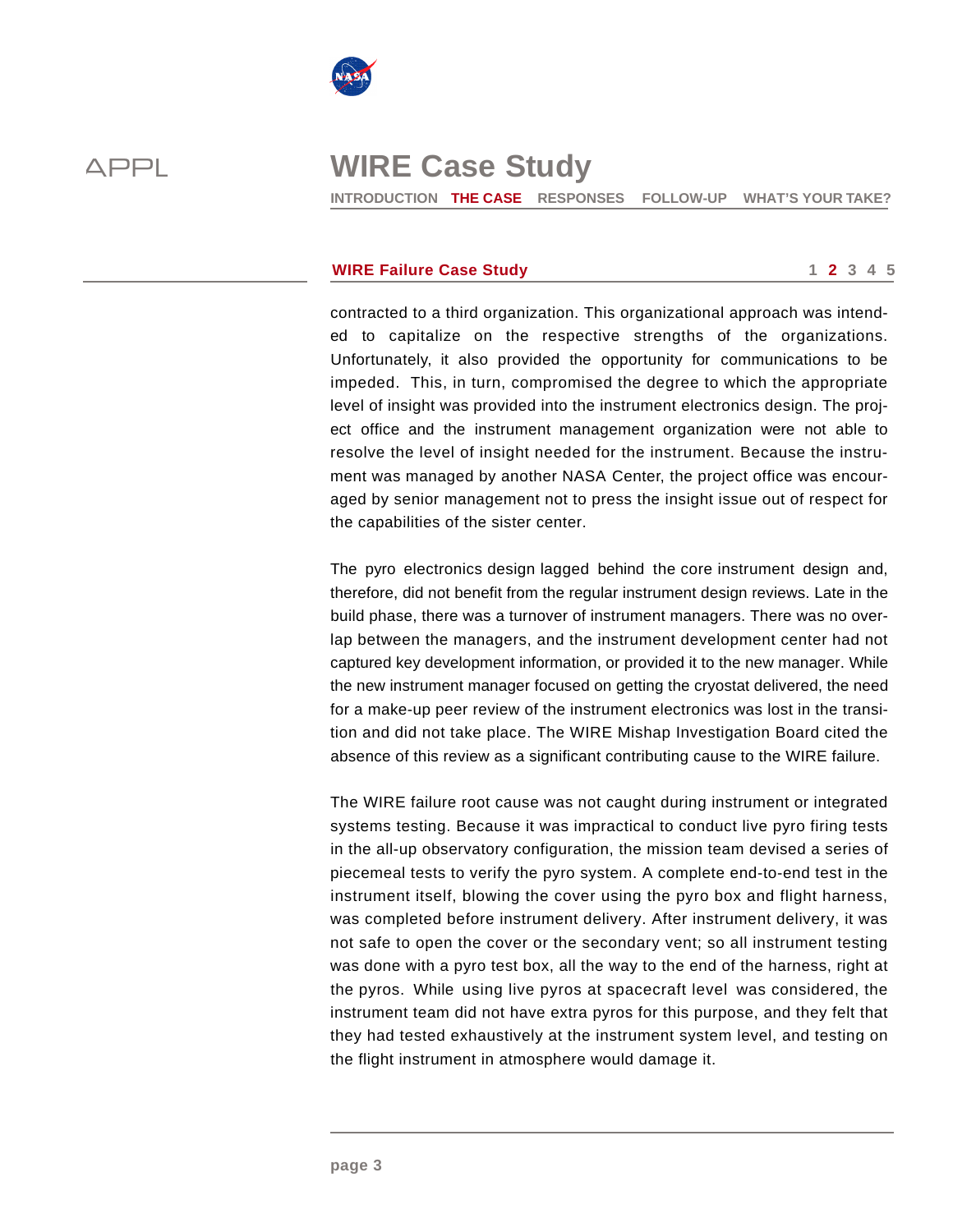

**INTRODUCTION THE CASE RESPONSES FOLLOW-UP WHAT'S YOUR TAKE?** 

### **WIRE Failure Case Study 1 2 3 4 5 1 2 3 4 5**

contracted to a third organization. This organizational approach was intended to capitalize on the respective strengths of the organizations. Unfortunately, it also provided the opportunity for communications to be impeded. This, in turn, compromised the degree to which the appropriate level of insight was provided into the instrument electronics design. The project office and the instrument management organization were not able to resolve the level of insight needed for the instrument. Because the instrument was managed by another NASA Center, the project office was encouraged by senior management not to press the insight issue out of respect for the capabilities of the sister center.

The pyro electronics design lagged behind the core instrument design and, therefore, did not benefit from the regular instrument design reviews. Late in the build phase, there was a turnover of instrument managers. There was no overlap between the managers, and the instrument development center had not captured key development information, or provided it to the new manager. While the new instrument manager focused on getting the cryostat delivered, the need for a make-up peer review of the instrument electronics was lost in the transition and did not take place. The WIRE Mishap Investigation Board cited the absence of this review as a significant contributing cause to the WIRE failure.

The WIRE failure root cause was not caught during instrument or integrated systems testing. Because it was impractical to conduct live pyro firing tests in the all-up observatory configuration, the mission team devised a series of piecemeal tests to verify the pyro system. A complete end-to-end test in the instrument itself, blowing the cover using the pyro box and flight harness, was completed before instrument delivery. After instrument delivery, it was not safe to open the cover or the secondary vent; so all instrument testing was done with a pyro test box, all the way to the end of the harness, right at the pyros. While using live pyros at spacecraft level was considered, the instrument team did not have extra pyros for this purpose, and they felt that they had tested exhaustively at the instrument system level, and testing on the flight instrument in atmosphere would damage it.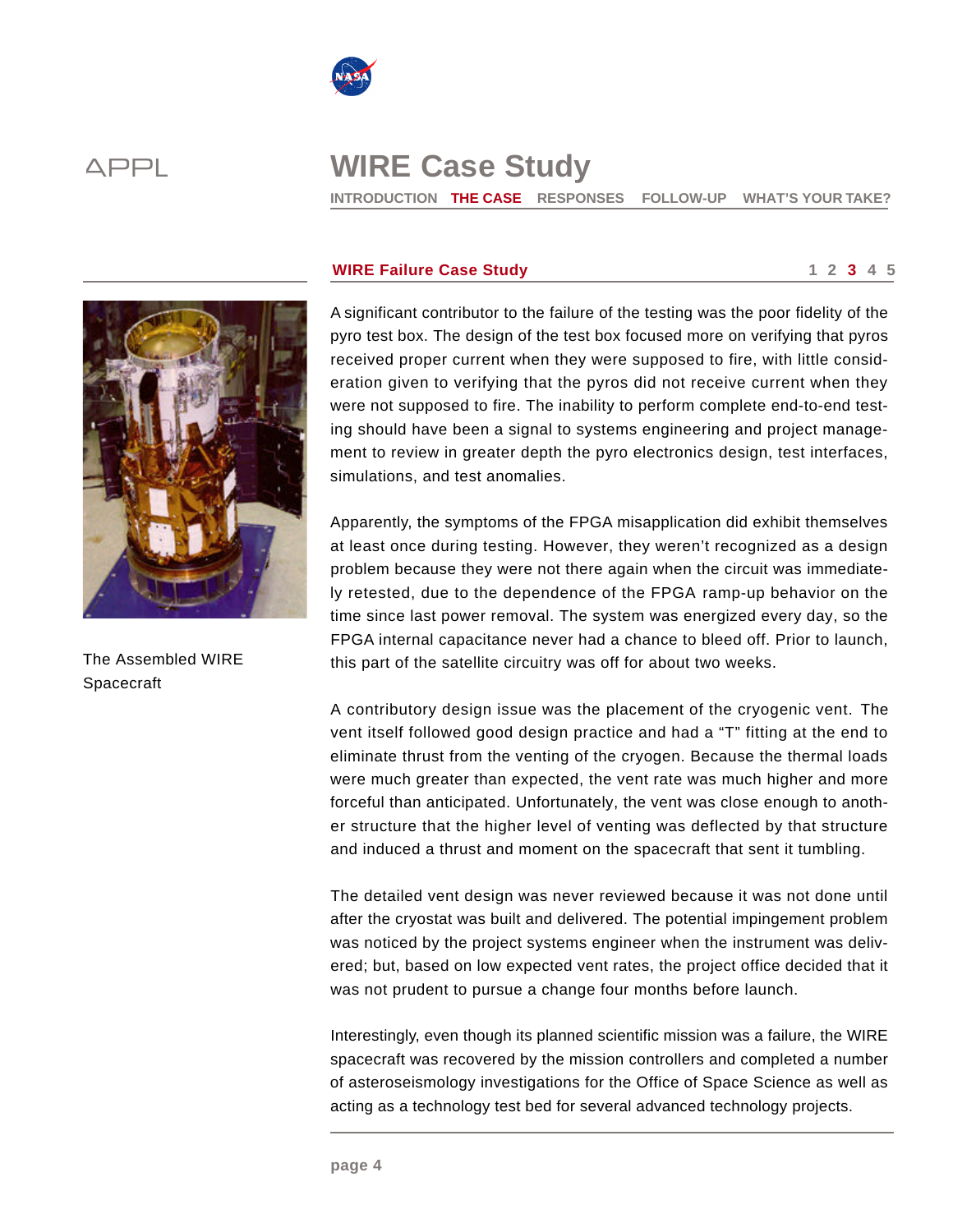

**INTRODUCTION THE CASE RESPONSES FOLLOW-UP WHAT'S YOUR TAKE?** 



The Assembled WIRE Spacecraft

### **WIRE Failure Case Study**  1 2 3 4 5

A significant contributor to the failure of the testing was the poor fidelity of the pyro test box. The design of the test box focused more on verifying that pyros received proper current when they were supposed to fire, with little consideration given to verifying that the pyros did not receive current when they were not supposed to fire. The inability to perform complete end-to-end testing should have been a signal to systems engineering and project management to review in greater depth the pyro electronics design, test interfaces, simulations, and test anomalies.

Apparently, the symptoms of the FPGA misapplication did exhibit themselves at least once during testing. However, they weren't recognized as a design problem because they were not there again when the circuit was immediately retested, due to the dependence of the FPGA ramp-up behavior on the time since last power removal. The system was energized every day, so the FPGA internal capacitance never had a chance to bleed off. Prior to launch, this part of the satellite circuitry was off for about two weeks.

A contributory design issue was the placement of the cryogenic vent. The vent itself followed good design practice and had a "T" fitting at the end to eliminate thrust from the venting of the cryogen. Because the thermal loads were much greater than expected, the vent rate was much higher and more forceful than anticipated. Unfortunately, the vent was close enough to another structure that the higher level of venting was deflected by that structure and induced a thrust and moment on the spacecraft that sent it tumbling.

The detailed vent design was never reviewed because it was not done until after the cryostat was built and delivered. The potential impingement problem was noticed by the project systems engineer when the instrument was delivered; but, based on low expected vent rates, the project office decided that it was not prudent to pursue a change four months before launch.

Interestingly, even though its planned scientific mission was a failure, the WIRE spacecraft was recovered by the mission controllers and completed a number of asteroseismology investigations for the Office of Space Science as well as acting as a technology test bed for several advanced technology projects.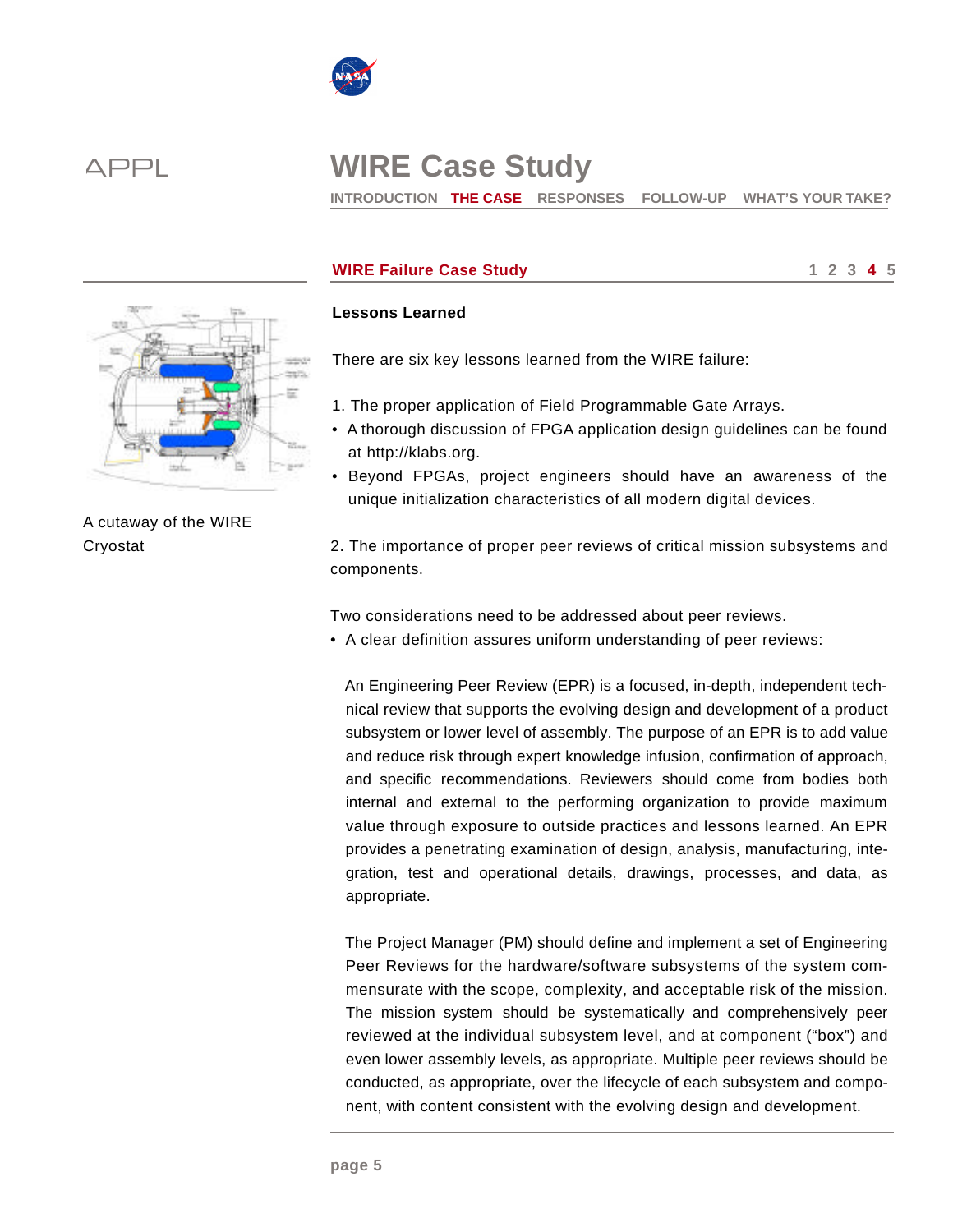

**INTRODUCTION THE CASE RESPONSES FOLLOW-UP WHAT'S YOUR TAKE?** 



A cutaway of the WIRE **Cryostat** 

## **WIRE Failure Case Study 1 2 3 4 5**

### **Lessons Learned**

There are six key lessons learned from the WIRE failure:

- 1. The proper application of Field Programmable Gate Arrays.
- A thorough discussion of FPGA application design guidelines can be found at http://klabs.org.
- Beyond FPGAs, project engineers should have an awareness of the unique initialization characteristics of all modern digital devices.

2. The importance of proper peer reviews of critical mission subsystems and components.

Two considerations need to be addressed about peer reviews.

• A clear definition assures uniform understanding of peer reviews:

An Engineering Peer Review (EPR) is a focused, in-depth, independent technical review that supports the evolving design and development of a product subsystem or lower level of assembly. The purpose of an EPR is to add value and reduce risk through expert knowledge infusion, confirmation of approach, and specific recommendations. Reviewers should come from bodies both internal and external to the performing organization to provide maximum value through exposure to outside practices and lessons learned. An EPR provides a penetrating examination of design, analysis, manufacturing, integration, test and operational details, drawings, processes, and data, as appropriate.

The Project Manager (PM) should define and implement a set of Engineering Peer Reviews for the hardware/software subsystems of the system commensurate with the scope, complexity, and acceptable risk of the mission. The mission system should be systematically and comprehensively peer reviewed at the individual subsystem level, and at component ("box") and even lower assembly levels, as appropriate. Multiple peer reviews should be conducted, as appropriate, over the lifecycle of each subsystem and component, with content consistent with the evolving design and development.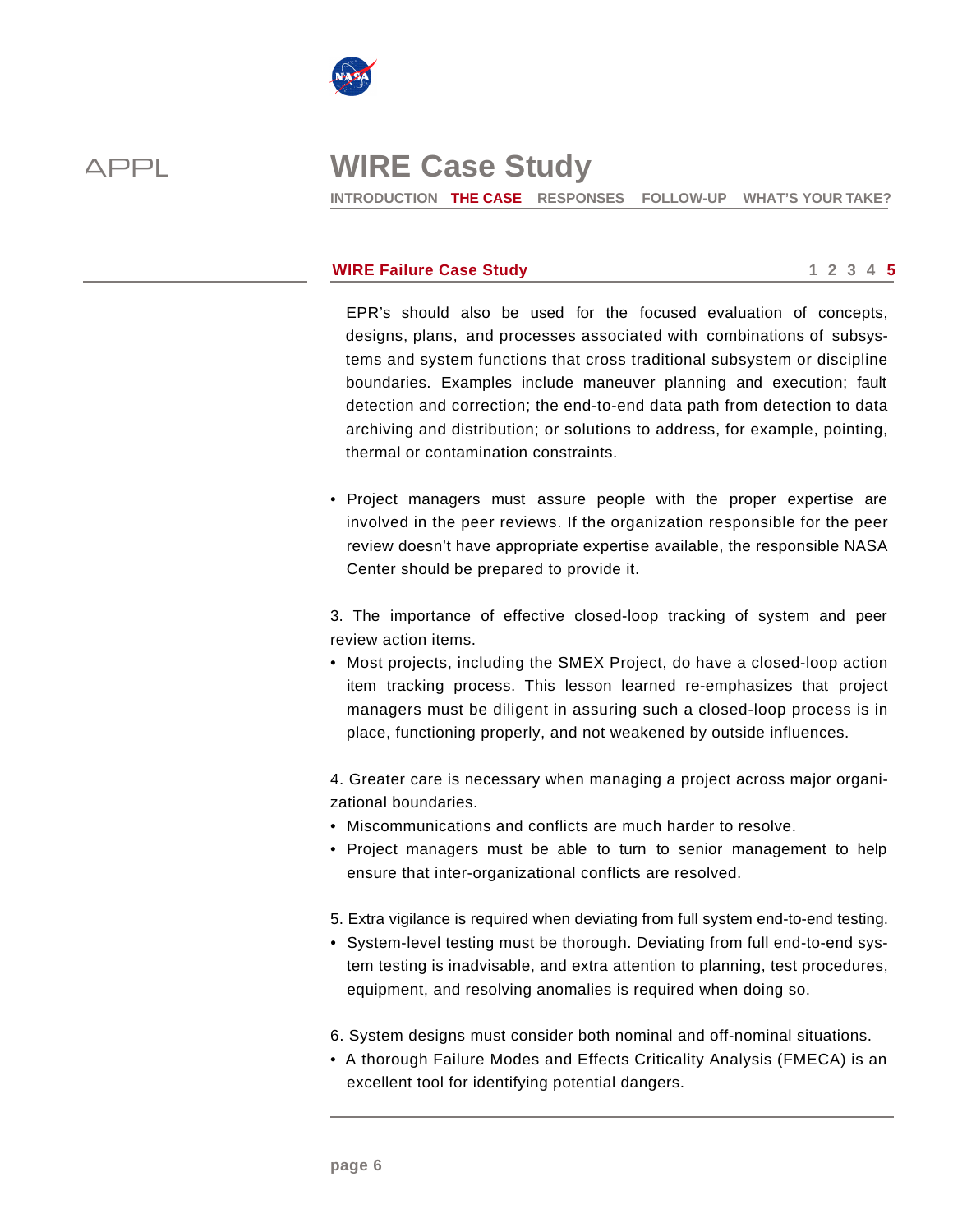

**INTRODUCTION THE CASE RESPONSES FOLLOW-UP WHAT'S YOUR TAKE?** 

### **WIRE Failure Case Study 1 2 3 4 5**

EPR's should also be used for the focused evaluation of concepts, designs, plans, and processes associated with combinations of subsystems and system functions that cross traditional subsystem or discipline boundaries. Examples include maneuver planning and execution; fault detection and correction; the end-to-end data path from detection to data archiving and distribution; or solutions to address, for example, pointing, thermal or contamination constraints.

• Project managers must assure people with the proper expertise are involved in the peer reviews. If the organization responsible for the peer review doesn't have appropriate expertise available, the responsible NASA Center should be prepared to provide it.

3. The importance of effective closed-loop tracking of system and peer review action items.

• Most projects, including the SMEX Project, do have a closed-loop action item tracking process. This lesson learned re-emphasizes that project managers must be diligent in assuring such a closed-loop process is in place, functioning properly, and not weakened by outside influences.

4. Greater care is necessary when managing a project across major organizational boundaries.

- Miscommunications and conflicts are much harder to resolve.
- Project managers must be able to turn to senior management to help ensure that inter-organizational conflicts are resolved.
- 5. Extra vigilance is required when deviating from full system end-to-end testing.
- System-level testing must be thorough. Deviating from full end-to-end system testing is inadvisable, and extra attention to planning, test procedures, equipment, and resolving anomalies is required when doing so.
- 6. System designs must consider both nominal and off-nominal situations.
- A thorough Failure Modes and Effects Criticality Analysis (FMECA) is an excellent tool for identifying potential dangers.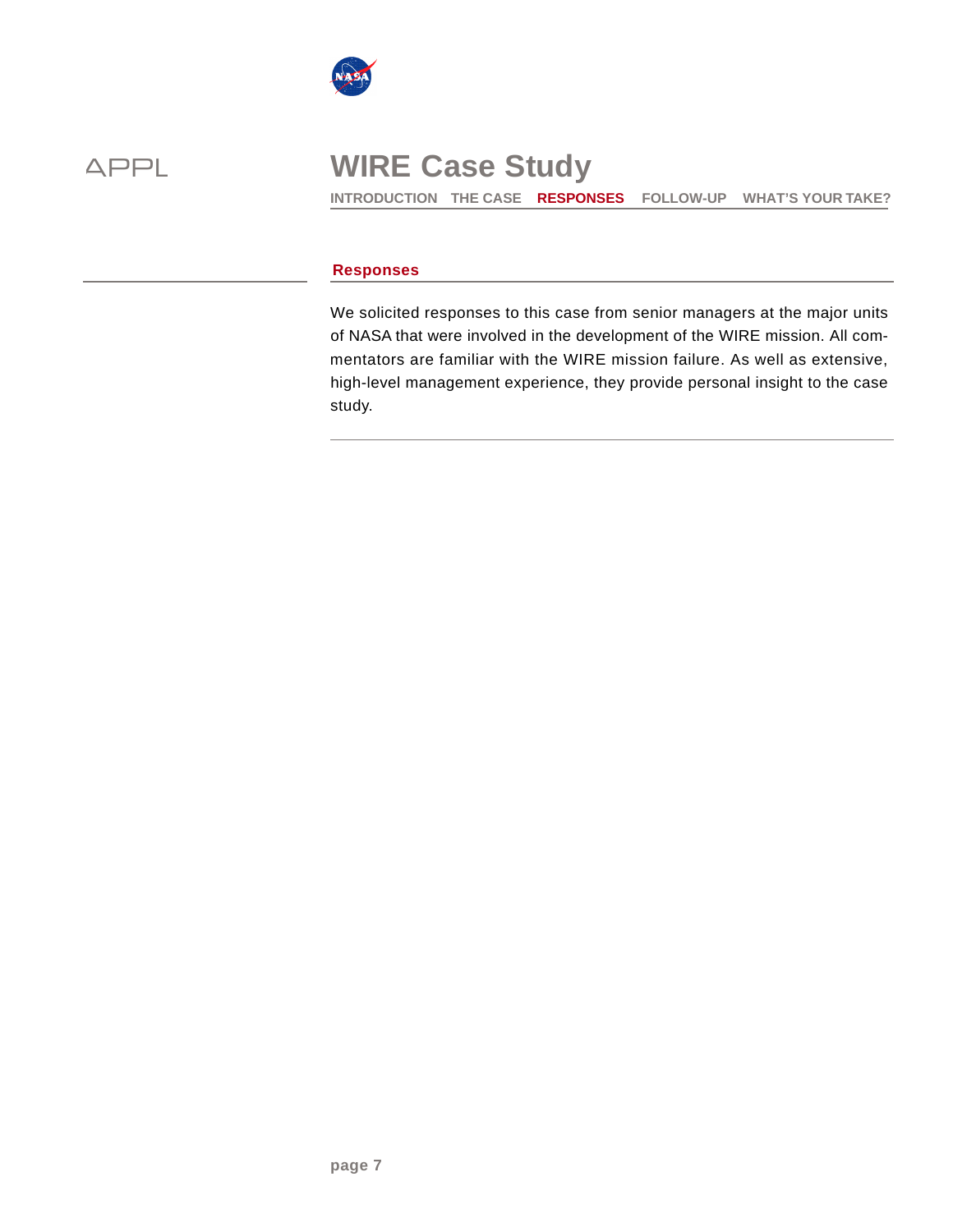



**INTRODUCTION THE CASE RESPONSES FOLLOW-UP WHAT'S YOUR TAKE?** 

### **Responses**

We solicited responses to this case from senior managers at the major units of NASA that were involved in the development of the WIRE mission. All commentators are familiar with the WIRE mission failure. As well as extensive, high-level management experience, they provide personal insight to the case study.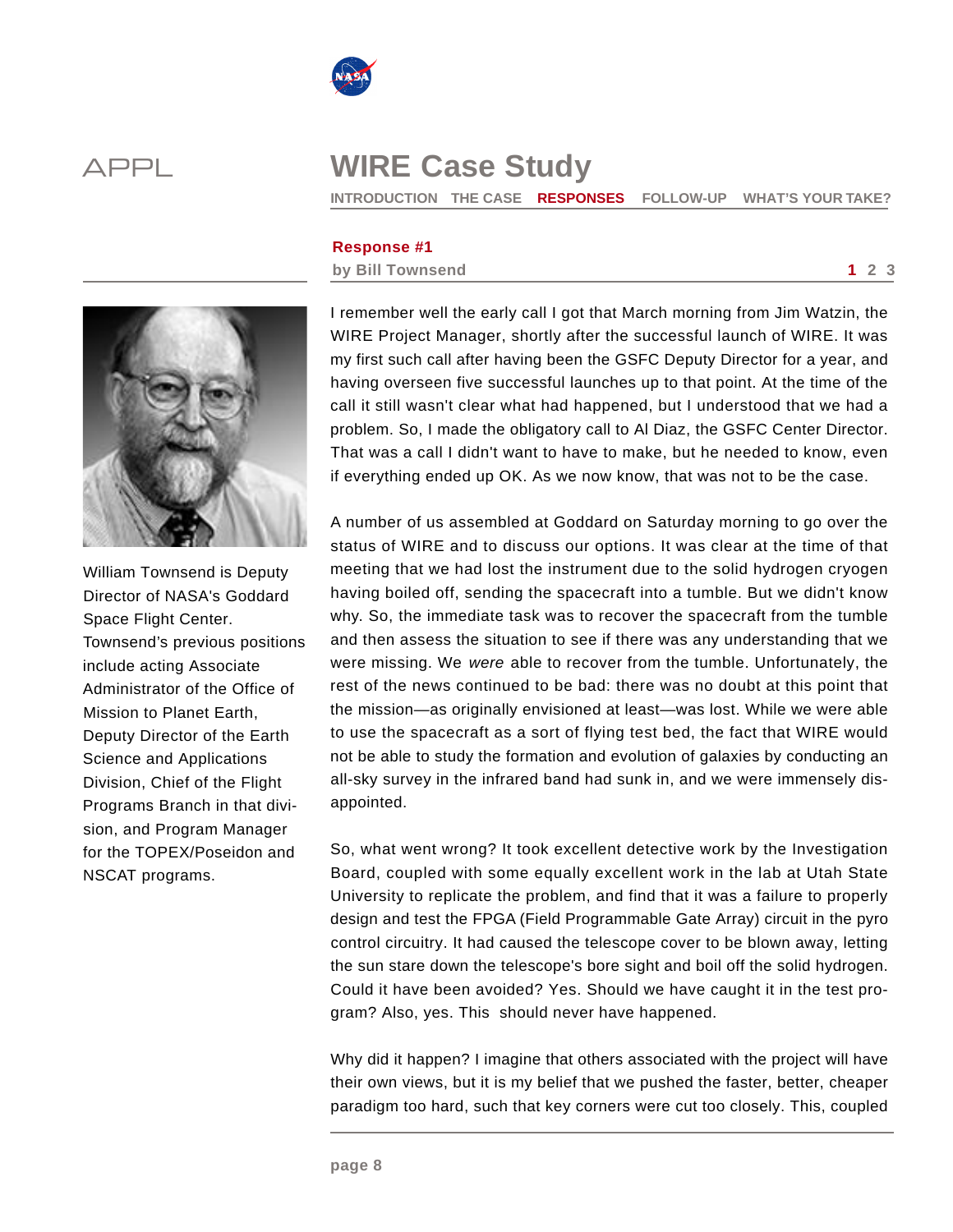



**INTRODUCTION THE CASE RESPONSES FOLLOW-UP WHAT'S YOUR TAKE?** 

### **Response #1**

### **by Bill Townsend 1 2 3**



William Townsend is Deputy Director of NASA's Goddard Space Flight Center. Townsend's previous positions include acting Associate Administrator of the Office of Mission to Planet Earth, Deputy Director of the Earth Science and Applications Division, Chief of the Flight Programs Branch in that division, and Program Manager for the TOPEX/Poseidon and NSCAT programs.

I remember well the early call I got that March morning from Jim Watzin, the WIRE Project Manager, shortly after the successful launch of WIRE. It was my first such call after having been the GSFC Deputy Director for a year, and having overseen five successful launches up to that point. At the time of the call it still wasn't clear what had happened, but I understood that we had a problem. So, I made the obligatory call to Al Diaz, the GSFC Center Director. That was a call I didn't want to have to make, but he needed to know, even if everything ended up OK. As we now know, that was not to be the case.

A number of us assembled at Goddard on Saturday morning to go over the status of WIRE and to discuss our options. It was clear at the time of that meeting that we had lost the instrument due to the solid hydrogen cryogen having boiled off, sending the spacecraft into a tumble. But we didn't know why. So, the immediate task was to recover the spacecraft from the tumble and then assess the situation to see if there was any understanding that we were missing. We *were* able to recover from the tumble. Unfortunately, the rest of the news continued to be bad: there was no doubt at this point that the mission—as originally envisioned at least—was lost. While we were able to use the spacecraft as a sort of flying test bed, the fact that WIRE would not be able to study the formation and evolution of galaxies by conducting an all-sky survey in the infrared band had sunk in, and we were immensely disappointed.

So, what went wrong? It took excellent detective work by the Investigation Board, coupled with some equally excellent work in the lab at Utah State University to replicate the problem, and find that it was a failure to properly design and test the FPGA (Field Programmable Gate Array) circuit in the pyro control circuitry. It had caused the telescope cover to be blown away, letting the sun stare down the telescope's bore sight and boil off the solid hydrogen. Could it have been avoided? Yes. Should we have caught it in the test program? Also, yes. This should never have happened.

Why did it happen? I imagine that others associated with the project will have their own views, but it is my belief that we pushed the faster, better, cheaper paradigm too hard, such that key corners were cut too closely. This, coupled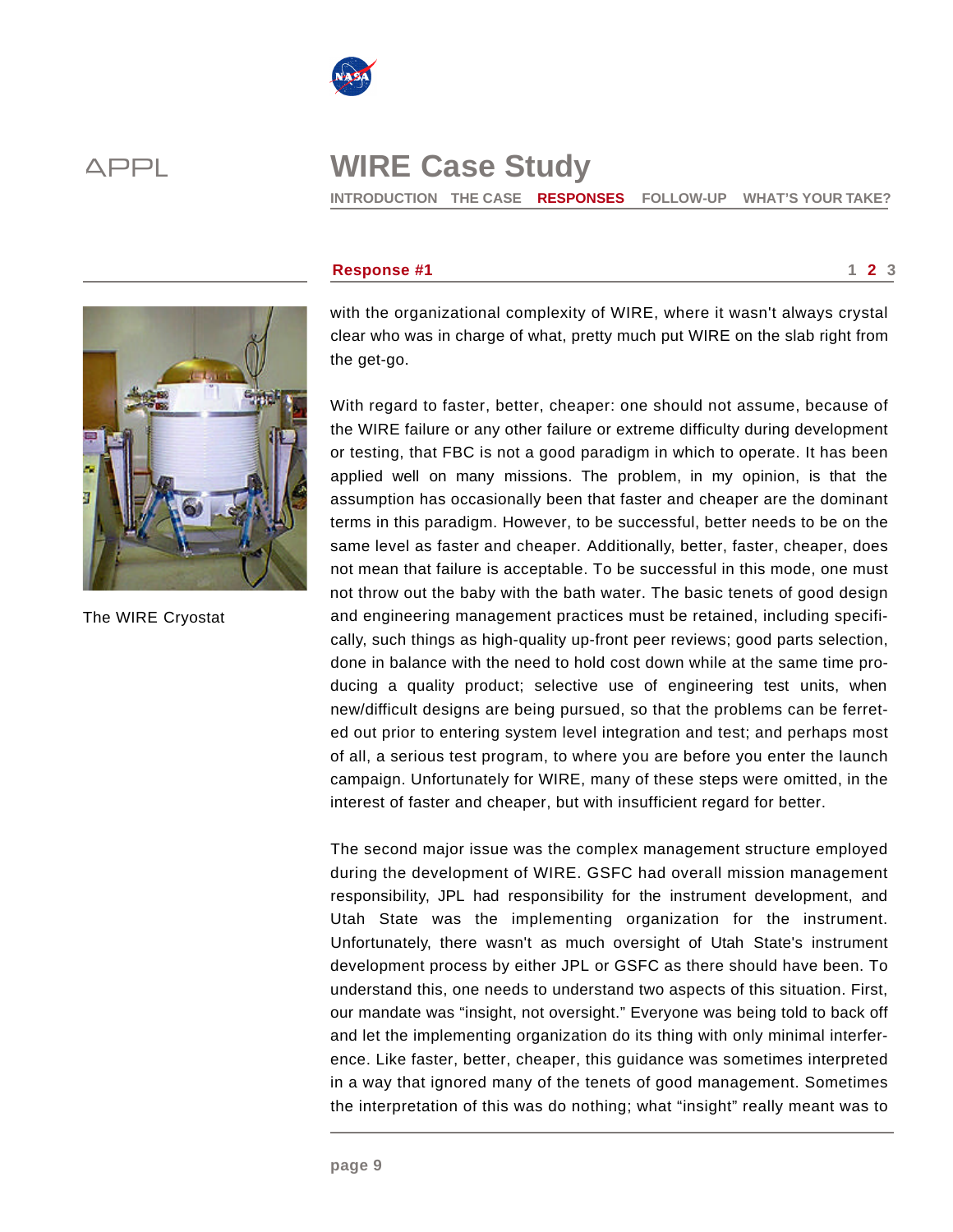

**INTRODUCTION THE CASE RESPONSES FOLLOW-UP WHAT'S YOUR TAKE?** 



The WIRE Cryostat

### **Response #1** 2 3

with the organizational complexity of WIRE, where it wasn't always crystal clear who was in charge of what, pretty much put WIRE on the slab right from the get-go.

With regard to faster, better, cheaper: one should not assume, because of the WIRE failure or any other failure or extreme difficulty during development or testing, that FBC is not a good paradigm in which to operate. It has been applied well on many missions. The problem, in my opinion, is that the assumption has occasionally been that faster and cheaper are the dominant terms in this paradigm. However, to be successful, better needs to be on the same level as faster and cheaper. Additionally, better, faster, cheaper, does not mean that failure is acceptable. To be successful in this mode, one must not throw out the baby with the bath water. The basic tenets of good design and engineering management practices must be retained, including specifically, such things as high-quality up-front peer reviews; good parts selection, done in balance with the need to hold cost down while at the same time producing a quality product; selective use of engineering test units, when new/difficult designs are being pursued, so that the problems can be ferreted out prior to entering system level integration and test; and perhaps most of all, a serious test program, to where you are before you enter the launch campaign. Unfortunately for WIRE, many of these steps were omitted, in the interest of faster and cheaper, but with insufficient regard for better.

The second major issue was the complex management structure employed during the development of WIRE. GSFC had overall mission management responsibility, JPL had responsibility for the instrument development, and Utah State was the implementing organization for the instrument. Unfortunately, there wasn't as much oversight of Utah State's instrument development process by either JPL or GSFC as there should have been. To understand this, one needs to understand two aspects of this situation. First, our mandate was "insight, not oversight." Everyone was being told to back off and let the implementing organization do its thing with only minimal interference. Like faster, better, cheaper, this guidance was sometimes interpreted in a way that ignored many of the tenets of good management. Sometimes the interpretation of this was do nothing; what "insight" really meant was to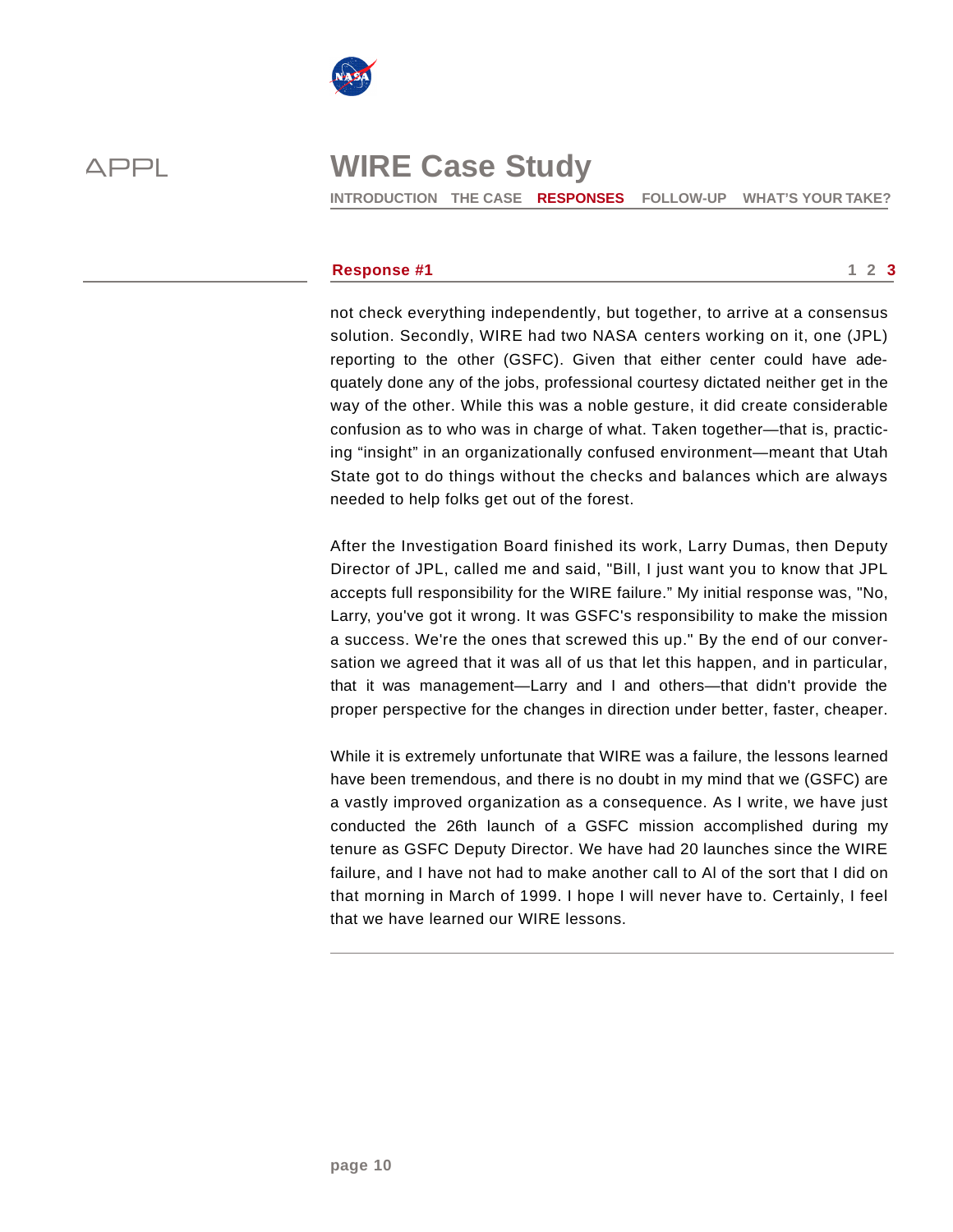

**INTRODUCTION THE CASE RESPONSES FOLLOW-UP WHAT'S YOUR TAKE?** 

### **Response #1** 1 2 3

not check everything independently, but together, to arrive at a consensus solution. Secondly, WIRE had two NASA centers working on it, one (JPL) reporting to the other (GSFC). Given that either center could have adequately done any of the jobs, professional courtesy dictated neither get in the way of the other. While this was a noble gesture, it did create considerable confusion as to who was in charge of what. Taken together—that is, practicing "insight" in an organizationally confused environment—meant that Utah State got to do things without the checks and balances which are always needed to help folks get out of the forest.

After the Investigation Board finished its work, Larry Dumas, then Deputy Director of JPL, called me and said, "Bill, I just want you to know that JPL accepts full responsibility for the WIRE failure." My initial response was, "No, Larry, you've got it wrong. It was GSFC's responsibility to make the mission a success. We're the ones that screwed this up." By the end of our conversation we agreed that it was all of us that let this happen, and in particular, that it was management—Larry and I and others—that didn't provide the proper perspective for the changes in direction under better, faster, cheaper.

While it is extremely unfortunate that WIRE was a failure, the lessons learned have been tremendous, and there is no doubt in my mind that we (GSFC) are a vastly improved organization as a consequence. As I write, we have just conducted the 26th launch of a GSFC mission accomplished during my tenure as GSFC Deputy Director. We have had 20 launches since the WIRE failure, and I have not had to make another call to Al of the sort that I did on that morning in March of 1999. I hope I will never have to. Certainly, I feel that we have learned our WIRE lessons.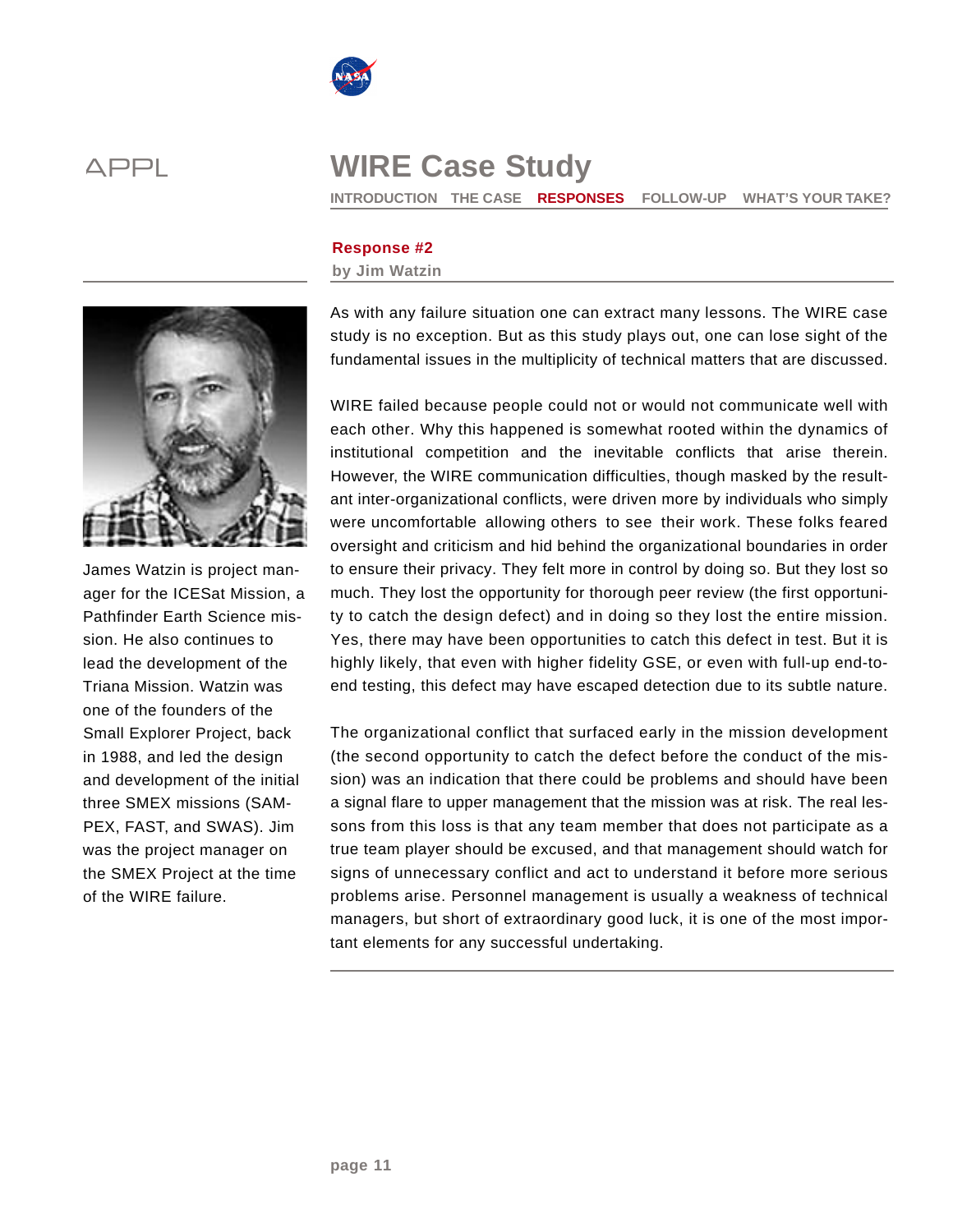



**INTRODUCTION THE CASE RESPONSES FOLLOW-UP WHAT'S YOUR TAKE?** 

## **Response #2**

### **by Jim Watzin**



James Watzin is project manager for the ICESat Mission, a Pathfinder Earth Science mission. He also continues to lead the development of the Triana Mission. Watzin was one of the founders of the Small Explorer Project, back in 1988, and led the design and development of the initial three SMEX missions (SAM-PEX, FAST, and SWAS). Jim was the project manager on the SMEX Project at the time of the WIRE failure.

As with any failure situation one can extract many lessons. The WIRE case study is no exception. But as this study plays out, one can lose sight of the fundamental issues in the multiplicity of technical matters that are discussed.

WIRE failed because people could not or would not communicate well with each other. Why this happened is somewhat rooted within the dynamics of institutional competition and the inevitable conflicts that arise therein. However, the WIRE communication difficulties, though masked by the resultant inter-organizational conflicts, were driven more by individuals who simply were uncomfortable allowing others to see their work. These folks feared oversight and criticism and hid behind the organizational boundaries in order to ensure their privacy. They felt more in control by doing so. But they lost so much. They lost the opportunity for thorough peer review (the first opportunity to catch the design defect) and in doing so they lost the entire mission. Yes, there may have been opportunities to catch this defect in test. But it is highly likely, that even with higher fidelity GSE, or even with full-up end-toend testing, this defect may have escaped detection due to its subtle nature.

The organizational conflict that surfaced early in the mission development (the second opportunity to catch the defect before the conduct of the mission) was an indication that there could be problems and should have been a signal flare to upper management that the mission was at risk. The real lessons from this loss is that any team member that does not participate as a true team player should be excused, and that management should watch for signs of unnecessary conflict and act to understand it before more serious problems arise. Personnel management is usually a weakness of technical managers, but short of extraordinary good luck, it is one of the most important elements for any successful undertaking.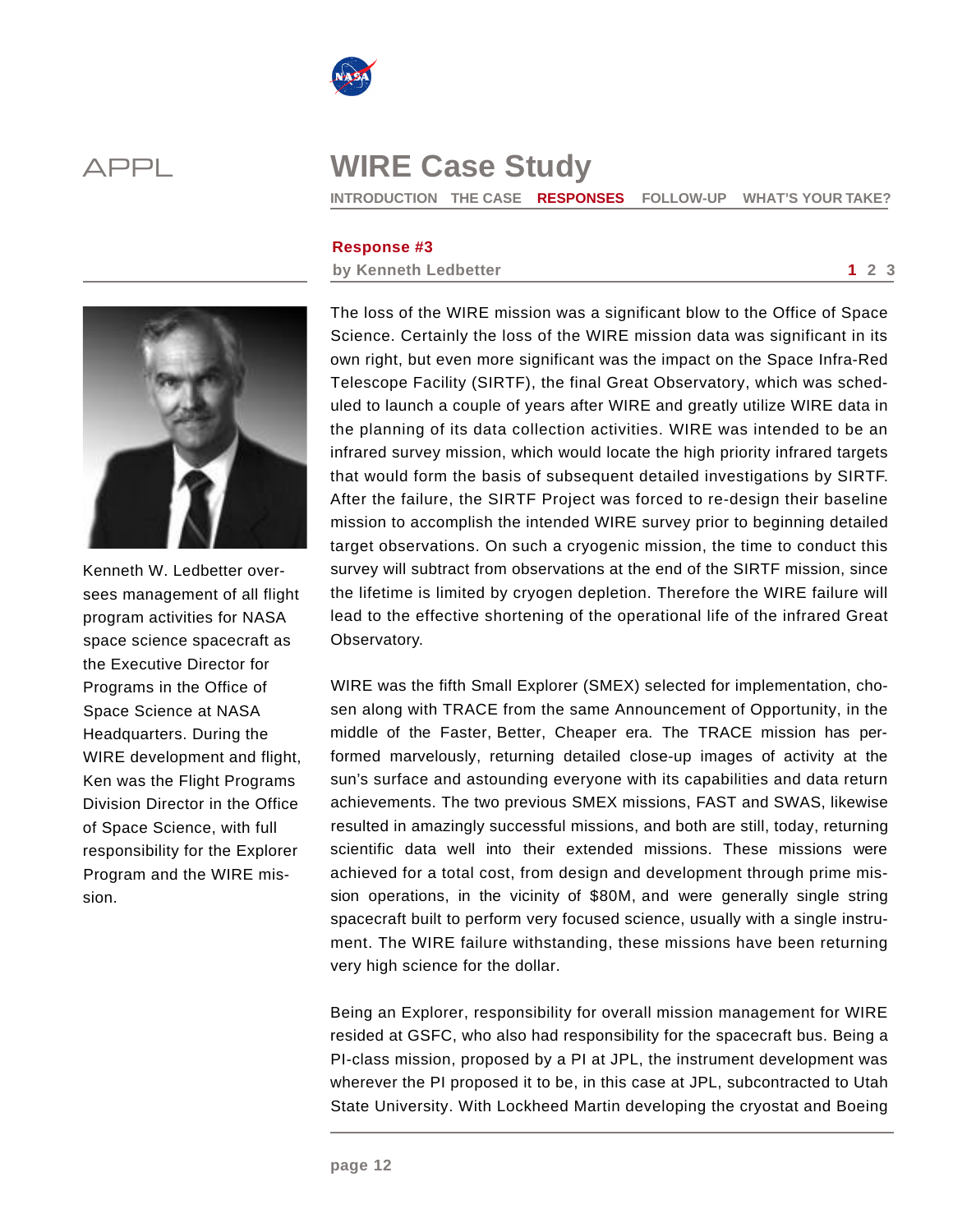



**INTRODUCTION THE CASE RESPONSES FOLLOW-UP WHAT'S YOUR TAKE?** 

### **Response #3**

**by Kenneth Ledbetter 1 2 3** 



Kenneth W. Ledbetter oversees management of all flight program activities for NASA space science spacecraft as the Executive Director for Programs in the Office of Space Science at NASA Headquarters. During the WIRE development and flight, Ken was the Flight Programs Division Director in the Office of Space Science, with full responsibility for the Explorer Program and the WIRE mission.

The loss of the WIRE mission was a significant blow to the Office of Space Science. Certainly the loss of the WIRE mission data was significant in its own right, but even more significant was the impact on the Space Infra-Red Telescope Facility (SIRTF), the final Great Observatory, which was scheduled to launch a couple of years after WIRE and greatly utilize WIRE data in the planning of its data collection activities. WIRE was intended to be an infrared survey mission, which would locate the high priority infrared targets that would form the basis of subsequent detailed investigations by SIRTF. After the failure, the SIRTF Project was forced to re-design their baseline mission to accomplish the intended WIRE survey prior to beginning detailed target observations. On such a cryogenic mission, the time to conduct this survey will subtract from observations at the end of the SIRTF mission, since the lifetime is limited by cryogen depletion. Therefore the WIRE failure will lead to the effective shortening of the operational life of the infrared Great Observatory.

WIRE was the fifth Small Explorer (SMEX) selected for implementation, chosen along with TRACE from the same Announcement of Opportunity, in the middle of the Faster, Better, Cheaper era. The TRACE mission has performed marvelously, returning detailed close-up images of activity at the sun's surface and astounding everyone with its capabilities and data return achievements. The two previous SMEX missions, FAST and SWAS, likewise resulted in amazingly successful missions, and both are still, today, returning scientific data well into their extended missions. These missions were achieved for a total cost, from design and development through prime mission operations, in the vicinity of \$80M, and were generally single string spacecraft built to perform very focused science, usually with a single instrument. The WIRE failure withstanding, these missions have been returning very high science for the dollar.

Being an Explorer, responsibility for overall mission management for WIRE resided at GSFC, who also had responsibility for the spacecraft bus. Being a PI-class mission, proposed by a PI at JPL, the instrument development was wherever the PI proposed it to be, in this case at JPL, subcontracted to Utah State University. With Lockheed Martin developing the cryostat and Boeing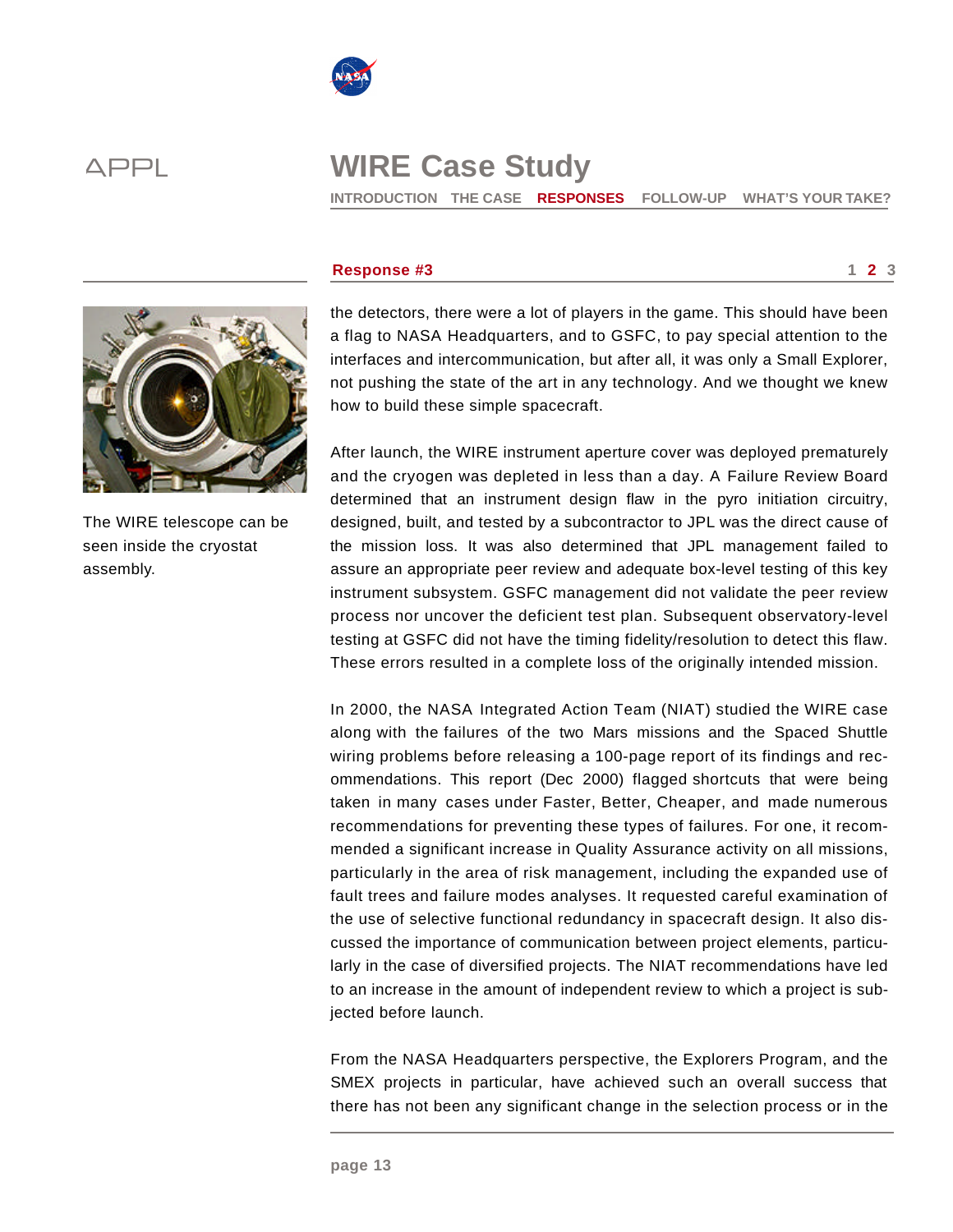

**INTRODUCTION THE CASE RESPONSES FOLLOW-UP WHAT'S YOUR TAKE?** 



The WIRE telescope can be seen inside the cryostat assembly.

### **Response #3** 1 2 3

the detectors, there were a lot of players in the game. This should have been a flag to NASA Headquarters, and to GSFC, to pay special attention to the interfaces and intercommunication, but after all, it was only a Small Explorer, not pushing the state of the art in any technology. And we thought we knew how to build these simple spacecraft.

After launch, the WIRE instrument aperture cover was deployed prematurely and the cryogen was depleted in less than a day. A Failure Review Board determined that an instrument design flaw in the pyro initiation circuitry, designed, built, and tested by a subcontractor to JPL was the direct cause of the mission loss. It was also determined that JPL management failed to assure an appropriate peer review and adequate box-level testing of this key instrument subsystem. GSFC management did not validate the peer review process nor uncover the deficient test plan. Subsequent observatory-level testing at GSFC did not have the timing fidelity/resolution to detect this flaw. These errors resulted in a complete loss of the originally intended mission.

In 2000, the NASA Integrated Action Team (NIAT) studied the WIRE case along with the failures of the two Mars missions and the Spaced Shuttle wiring problems before releasing a 100-page report of its findings and recommendations. This report (Dec 2000) flagged shortcuts that were being taken in many cases under Faster, Better, Cheaper, and made numerous recommendations for preventing these types of failures. For one, it recommended a significant increase in Quality Assurance activity on all missions, particularly in the area of risk management, including the expanded use of fault trees and failure modes analyses. It requested careful examination of the use of selective functional redundancy in spacecraft design. It also discussed the importance of communication between project elements, particularly in the case of diversified projects. The NIAT recommendations have led to an increase in the amount of independent review to which a project is subjected before launch.

From the NASA Headquarters perspective, the Explorers Program, and the SMEX projects in particular, have achieved such an overall success that there has not been any significant change in the selection process or in the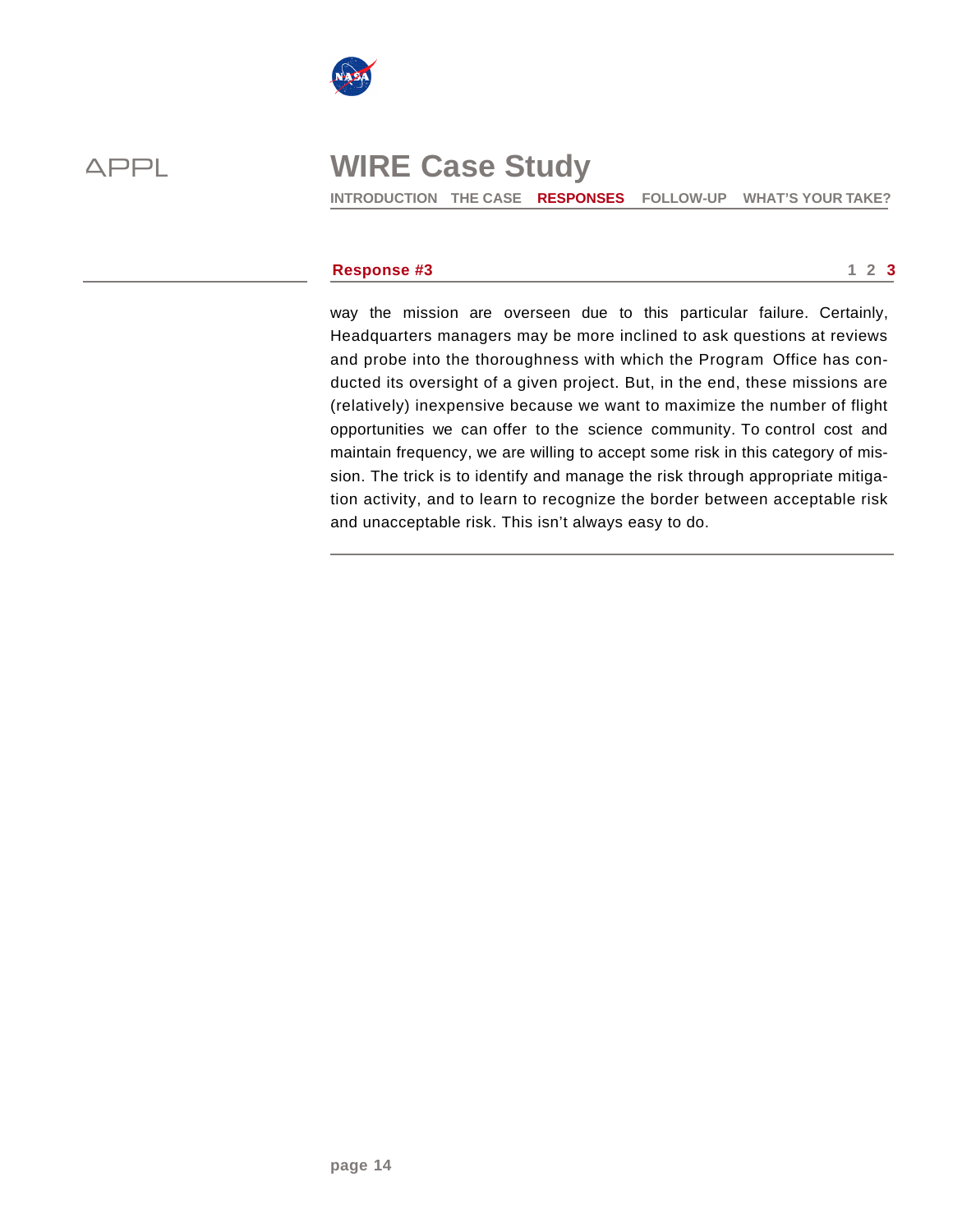



**INTRODUCTION THE CASE RESPONSES FOLLOW-UP WHAT'S YOUR TAKE?** 

### **Response #3** 1 2 3

way the mission are overseen due to this particular failure. Certainly, Headquarters managers may be more inclined to ask questions at reviews and probe into the thoroughness with which the Program Office has conducted its oversight of a given project. But, in the end, these missions are (relatively) inexpensive because we want to maximize the number of flight opportunities we can offer to the science community. To control cost and maintain frequency, we are willing to accept some risk in this category of mission. The trick is to identify and manage the risk through appropriate mitigation activity, and to learn to recognize the border between acceptable risk and unacceptable risk. This isn't always easy to do.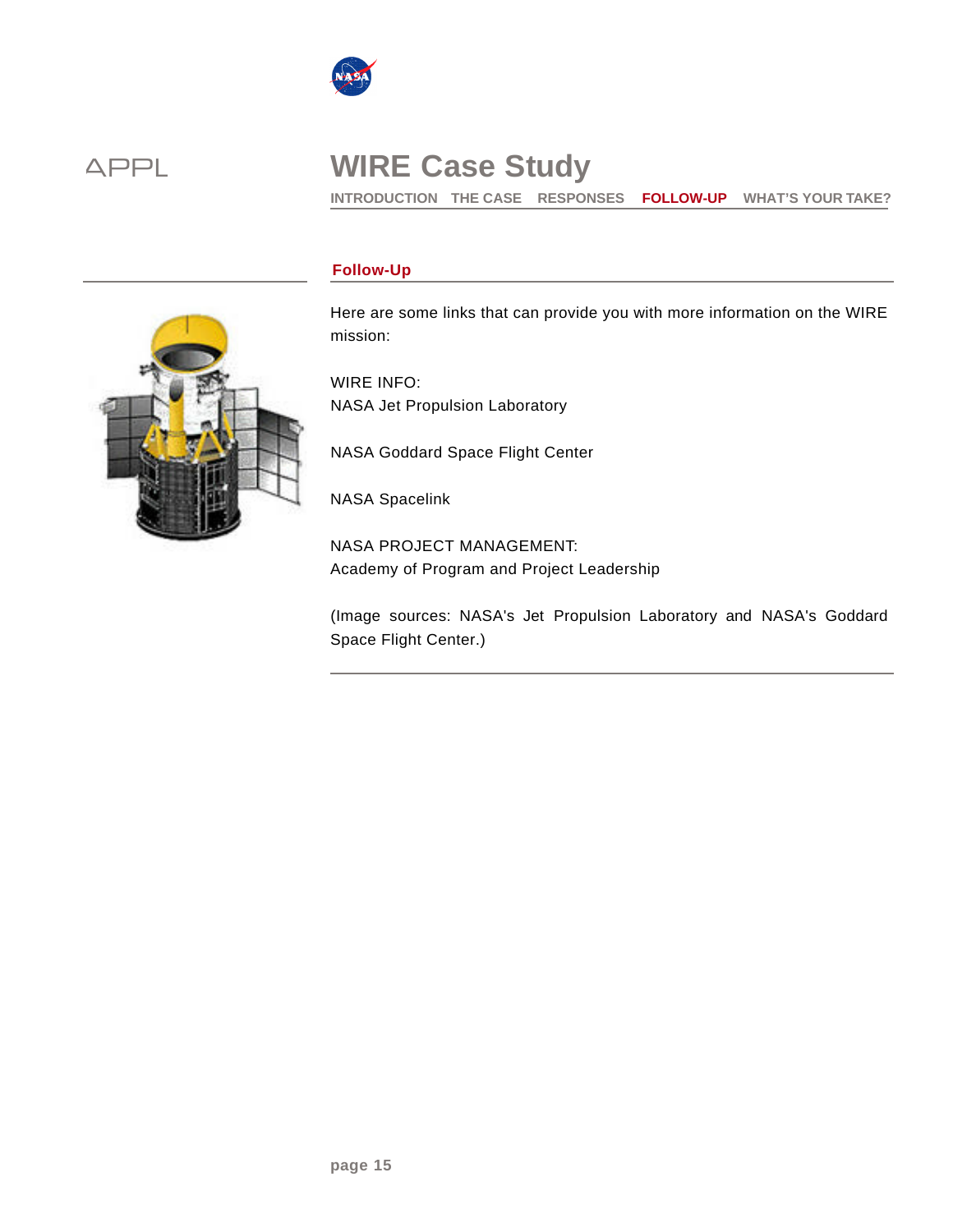

**INTRODUCTION THE CASE RESPONSES FOLLOW-UP WHAT'S YOUR TAKE?** 

## **Follow-Up**

Here are some links that can provide you with more information on the WIRE mission:

WIRE INFO: NASA Jet Propulsion Laboratory

NASA Goddard Space Flight Center

NASA Spacelink

NASA PROJECT MANAGEMENT: Academy of Program and Project Leadership

(Image sources: NASA's Jet Propulsion Laboratory and NASA's Goddard Space Flight Center.)